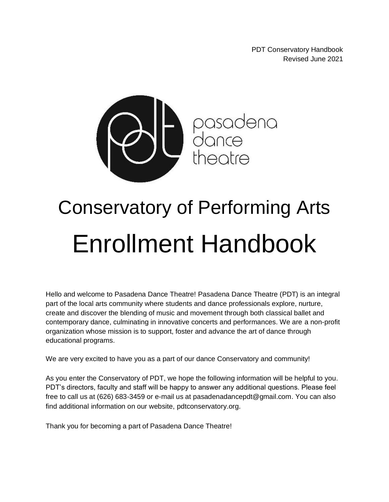PDT Conservatory Handbook Revised June 2021



# Conservatory of Performing Arts Enrollment Handbook

Hello and welcome to Pasadena Dance Theatre! Pasadena Dance Theatre (PDT) is an integral part of the local arts community where students and dance professionals explore, nurture, create and discover the blending of music and movement through both classical ballet and contemporary dance, culminating in innovative concerts and performances. We are a non-profit organization whose mission is to support, foster and advance the art of dance through educational programs.

We are very excited to have you as a part of our dance Conservatory and community!

As you enter the Conservatory of PDT, we hope the following information will be helpful to you. PDT's directors, faculty and staff will be happy to answer any additional questions. Please feel free to call us at (626) 683-3459 or e-mail us at [pasadenadancepdt@gmail.com.](mailto:pasadenadancepdt@gmail.com) You can also find additional information on our website, [pdtconservatory.org](http://pdtconservatory.org/).

Thank you for becoming a part of Pasadena Dance Theatre!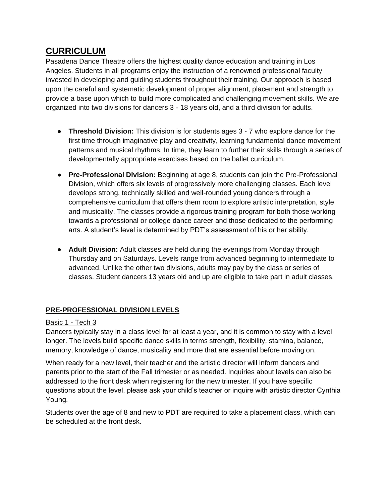# **CURRICULUM**

Pasadena Dance Theatre offers the highest quality dance education and training in Los Angeles. Students in all programs enjoy the instruction of a renowned professional faculty invested in developing and guiding students throughout their training. Our approach is based upon the careful and systematic development of proper alignment, placement and strength to provide a base upon which to build more complicated and challenging movement skills. We are organized into two divisions for dancers 3 - 18 years old, and a third division for adults.

- **Threshold Division:** This division is for students ages 3 7 who explore dance for the first time through imaginative play and creativity, learning fundamental dance movement patterns and musical rhythms. In time, they learn to further their skills through a series of developmentally appropriate exercises based on the ballet curriculum.
- **Pre-Professional Division:** Beginning at age 8, students can join the Pre-Professional Division, which offers six levels of progressively more challenging classes. Each level develops strong, technically skilled and well-rounded young dancers through a comprehensive curriculum that offers them room to explore artistic interpretation, style and musicality. The classes provide a rigorous training program for both those working towards a professional or college dance career and those dedicated to the performing arts. A student's level is determined by PDT's assessment of his or her ability.
- **Adult Division:** Adult classes are held during the evenings from Monday through Thursday and on Saturdays. Levels range from advanced beginning to intermediate to advanced. Unlike the other two divisions, adults may pay by the class or series of classes. Student dancers 13 years old and up are eligible to take part in adult classes.

# **PRE-PROFESSIONAL DIVISION LEVELS**

#### Basic 1 - Tech 3

Dancers typically stay in a class level for at least a year, and it is common to stay with a level longer. The levels build specific dance skills in terms strength, flexibility, stamina, balance, memory, knowledge of dance, musicality and more that are essential before moving on.

When ready for a new level, their teacher and the artistic director will inform dancers and parents prior to the start of the Fall trimester or as needed. Inquiries about levels can also be addressed to the front desk when registering for the new trimester. If you have specific questions about the level, please ask your child's teacher or inquire with artistic director Cynthia Young.

Students over the age of 8 and new to PDT are required to take a placement class, which can be scheduled at the front desk.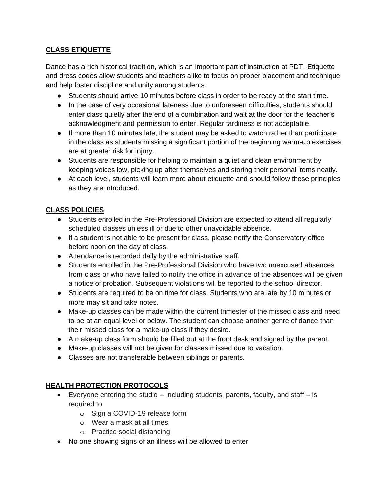# **CLASS ETIQUETTE**

Dance has a rich historical tradition, which is an important part of instruction at PDT. Etiquette and dress codes allow students and teachers alike to focus on proper placement and technique and help foster discipline and unity among students.

- Students should arrive 10 minutes before class in order to be ready at the start time.
- In the case of very occasional lateness due to unforeseen difficulties, students should enter class quietly after the end of a combination and wait at the door for the teacher's acknowledgment and permission to enter. Regular tardiness is not acceptable.
- If more than 10 minutes late, the student may be asked to watch rather than participate in the class as students missing a significant portion of the beginning warm-up exercises are at greater risk for injury.
- Students are responsible for helping to maintain a quiet and clean environment by keeping voices low, picking up after themselves and storing their personal items neatly.
- At each level, students will learn more about etiquette and should follow these principles as they are introduced.

## **CLASS POLICIES**

- Students enrolled in the Pre-Professional Division are expected to attend all regularly scheduled classes unless ill or due to other unavoidable absence.
- If a student is not able to be present for class, please notify the Conservatory office before noon on the day of class.
- Attendance is recorded daily by the administrative staff.
- Students enrolled in the Pre-Professional Division who have two unexcused absences from class or who have failed to notify the office in advance of the absences will be given a notice of probation. Subsequent violations will be reported to the school director.
- Students are required to be on time for class. Students who are late by 10 minutes or more may sit and take notes.
- Make-up classes can be made within the current trimester of the missed class and need to be at an equal level or below. The student can choose another genre of dance than their missed class for a make-up class if they desire.
- A make-up class form should be filled out at the front desk and signed by the parent.
- Make-up classes will not be given for classes missed due to vacation.
- Classes are not transferable between siblings or parents.

# **HEALTH PROTECTION PROTOCOLS**

- Everyone entering the studio  $-$  including students, parents, faculty, and staff  $-$  is required to
	- o Sign a COVID-19 release form
	- o Wear a mask at all times
	- o Practice social distancing
- No one showing signs of an illness will be allowed to enter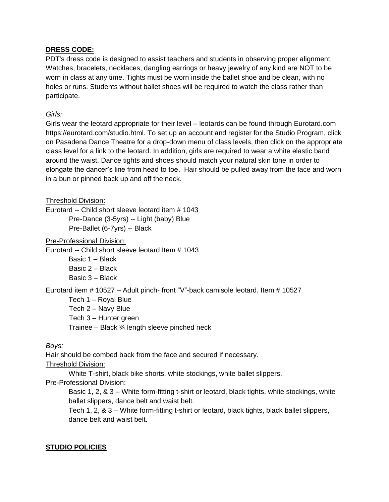#### **DRESS CODE:**

PDT's dress code is designed to assist teachers and students in observing proper alignment. Watches, bracelets, necklaces, dangling earrings or heavy jewelry of any kind are NOT to be worn in class at any time. Tights must be worn inside the ballet shoe and be clean, with no holes or runs. Students without ballet shoes will be required to watch the class rather than participate.

#### *Girls:*

Girls wear the leotard appropriate for their level – leotards can be found through Eurotard.com [https://eurotard.com/studio.html.](https://eurotard.com/studio.html) To set up an account and register for the Studio Program, click on Pasadena Dance Theatre for a drop-down menu of class levels, then click on the appropriate class level for a link to the leotard. In addition, girls are required to wear a white elastic band around the waist. Dance tights and shoes should match your natural skin tone in order to elongate the dancer's line from head to toe. Hair should be pulled away from the face and worn in a bun or pinned back up and off the neck.

Threshold Division:

Eurotard -- Child short sleeve leotard item # 1043 Pre-Dance (3-5yrs) -- Light (baby) Blue Pre-Ballet (6-7yrs) -- Black

Pre-Professional Division:

Eurotard -- Child short sleeve leotard Item # 1043

Basic 1 – Black Basic 2 – Black Basic 3 – Black

Eurotard item # 10527 – Adult pinch- front "V"-back camisole leotard. Item # 10527

Tech 1 – Royal Blue

Tech 2 – Navy Blue

Tech 3 – Hunter green

Trainee – Black ¾ length sleeve pinched neck

*Boys:*

Hair should be combed back from the face and secured if necessary.

Threshold Division:

White T-shirt, black bike shorts, white stockings, white ballet slippers.

Pre-Professional Division:

Basic 1, 2, & 3 – White form-fitting t-shirt or leotard, black tights, white stockings, white ballet slippers, dance belt and waist belt.

Tech 1, 2, & 3 – White form-fitting t-shirt or leotard, black tights, black ballet slippers, dance belt and waist belt.

#### **STUDIO POLICIES**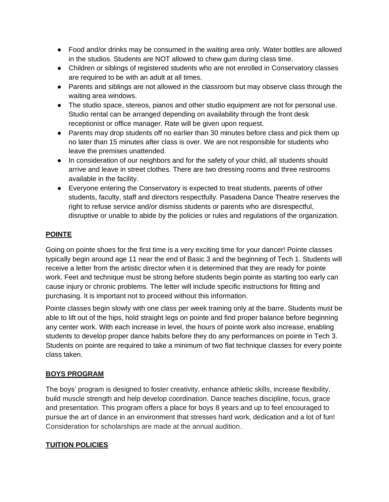- Food and/or drinks may be consumed in the waiting area only. Water bottles are allowed in the studios. Students are NOT allowed to chew gum during class time.
- Children or siblings of registered students who are not enrolled in Conservatory classes are required to be with an adult at all times.
- Parents and siblings are not allowed in the classroom but may observe class through the waiting area windows.
- The studio space, stereos, pianos and other studio equipment are not for personal use. Studio rental can be arranged depending on availability through the front desk receptionist or office manager. Rate will be given upon request.
- Parents may drop students off no earlier than 30 minutes before class and pick them up no later than 15 minutes after class is over. We are not responsible for students who leave the premises unattended.
- In consideration of our neighbors and for the safety of your child, all students should arrive and leave in street clothes. There are two dressing rooms and three restrooms available in the facility.
- Everyone entering the Conservatory is expected to treat students, parents of other students, faculty, staff and directors respectfully. Pasadena Dance Theatre reserves the right to refuse service and/or dismiss students or parents who are disrespectful, disruptive or unable to abide by the policies or rules and regulations of the organization.

# **POINTE**

Going on pointe shoes for the first time is a very exciting time for your dancer! Pointe classes typically begin around age 11 near the end of Basic 3 and the beginning of Tech 1. Students will receive a letter from the artistic director when it is determined that they are ready for pointe work. Feet and technique must be strong before students begin pointe as starting too early can cause injury or chronic problems. The letter will include specific instructions for fitting and purchasing. It is important not to proceed without this information.

Pointe classes begin slowly with one class per week training only at the barre. Students must be able to lift out of the hips, hold straight legs on pointe and find proper balance before beginning any center work. With each increase in level, the hours of pointe work also increase, enabling students to develop proper dance habits before they do any performances on pointe in Tech 3. Students on pointe are required to take a minimum of two flat technique classes for every pointe class taken.

#### **BOYS PROGRAM**

The boys' program is designed to foster creativity, enhance athletic skills, increase flexibility, build muscle strength and help develop coordination. Dance teaches discipline, focus, grace and presentation. This program offers a place for boys 8 years and up to feel encouraged to pursue the art of dance in an environment that stresses hard work, dedication and a lot of fun! Consideration for scholarships are made at the annual audition.

#### **TUITION POLICIES**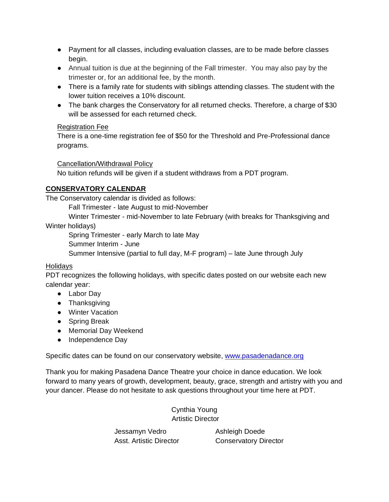- Payment for all classes, including evaluation classes, are to be made before classes begin.
- Annual tuition is due at the beginning of the Fall trimester. You may also pay by the trimester or, for an additional fee, by the month.
- There is a family rate for students with siblings attending classes. The student with the lower tuition receives a 10% discount.
- The bank charges the Conservatory for all returned checks. Therefore, a charge of \$30 will be assessed for each returned check.

#### Registration Fee

There is a one-time registration fee of \$50 for the Threshold and Pre-Professional dance programs.

## Cancellation/Withdrawal Policy

No tuition refunds will be given if a student withdraws from a PDT program.

# **CONSERVATORY CALENDAR**

The Conservatory calendar is divided as follows:

Fall Trimester - late August to mid-November

Winter Trimester - mid-November to late February (with breaks for Thanksgiving and Winter holidays)

Spring Trimester - early March to late May

Summer Interim - June

Summer Intensive (partial to full day, M-F program) – late June through July

# **Holidavs**

PDT recognizes the following holidays, with specific dates posted on our website each new calendar year:

- Labor Day
- Thanksgiving
- Winter Vacation
- Spring Break
- Memorial Day Weekend
- Independence Day

Specific dates can be found on our conservatory website, [www.pasadenadance.org](http://www.pasadenadance.org/) 

Thank you for making Pasadena Dance Theatre your choice in dance education. We look forward to many years of growth, development, beauty, grace, strength and artistry with you and your dancer. Please do not hesitate to ask questions throughout your time here at PDT.

> Cynthia Young Artistic Director

Jessamyn Vedro **Ashleigh Doede** 

Asst. Artistic Director **Conservatory Director**